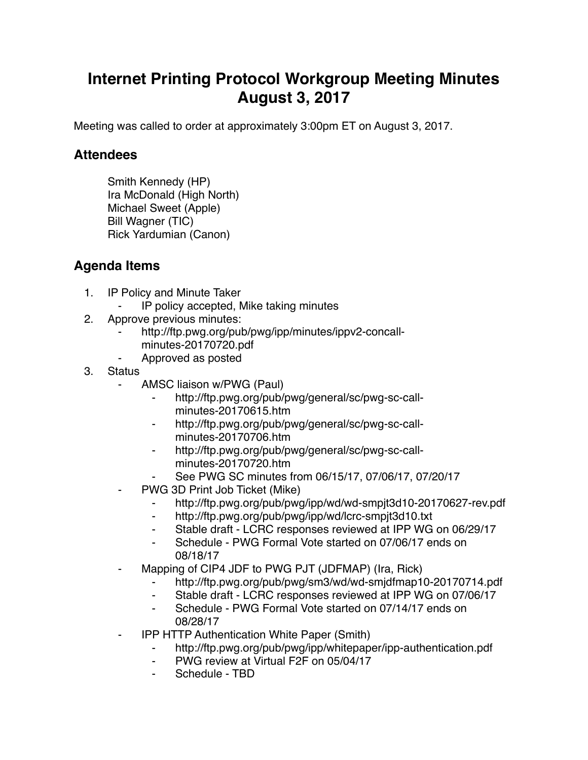## **Internet Printing Protocol Workgroup Meeting Minutes August 3, 2017**

Meeting was called to order at approximately 3:00pm ET on August 3, 2017.

## **Attendees**

Smith Kennedy (HP) Ira McDonald (High North) Michael Sweet (Apple) Bill Wagner (TIC) Rick Yardumian (Canon)

## **Agenda Items**

- 1. IP Policy and Minute Taker
	- ⁃ IP policy accepted, Mike taking minutes
- 2. Approve previous minutes:
	- http://ftp.pwg.org/pub/pwg/ipp/minutes/ippv2-concallminutes-20170720.pdf
	- ⁃ Approved as posted
- 3. Status
	- AMSC liaison w/PWG (Paul)
		- http://ftp.pwg.org/pub/pwg/general/sc/pwg-sc-callminutes-20170615.htm
		- http://ftp.pwg.org/pub/pwg/general/sc/pwg-sc-callminutes-20170706.htm
		- http://ftp.pwg.org/pub/pwg/general/sc/pwg-sc-callminutes-20170720.htm
		- See PWG SC minutes from 06/15/17, 07/06/17, 07/20/17
	- PWG 3D Print Job Ticket (Mike)
		- ⁃ http://ftp.pwg.org/pub/pwg/ipp/wd/wd-smpjt3d10-20170627-rev.pdf
		- ⁃ http://ftp.pwg.org/pub/pwg/ipp/wd/lcrc-smpjt3d10.txt
		- ⁃ Stable draft LCRC responses reviewed at IPP WG on 06/29/17
		- ⁃ Schedule PWG Formal Vote started on 07/06/17 ends on 08/18/17
	- Mapping of CIP4 JDF to PWG PJT (JDFMAP) (Ira, Rick)
		- http://ftp.pwg.org/pub/pwg/sm3/wd/wd-smjdfmap10-20170714.pdf
		- ⁃ Stable draft LCRC responses reviewed at IPP WG on 07/06/17
		- ⁃ Schedule PWG Formal Vote started on 07/14/17 ends on 08/28/17
	- ⁃ IPP HTTP Authentication White Paper (Smith)
		- http://ftp.pwg.org/pub/pwg/ipp/whitepaper/ipp-authentication.pdf
		- ⁃ PWG review at Virtual F2F on 05/04/17
		- Schedule TBD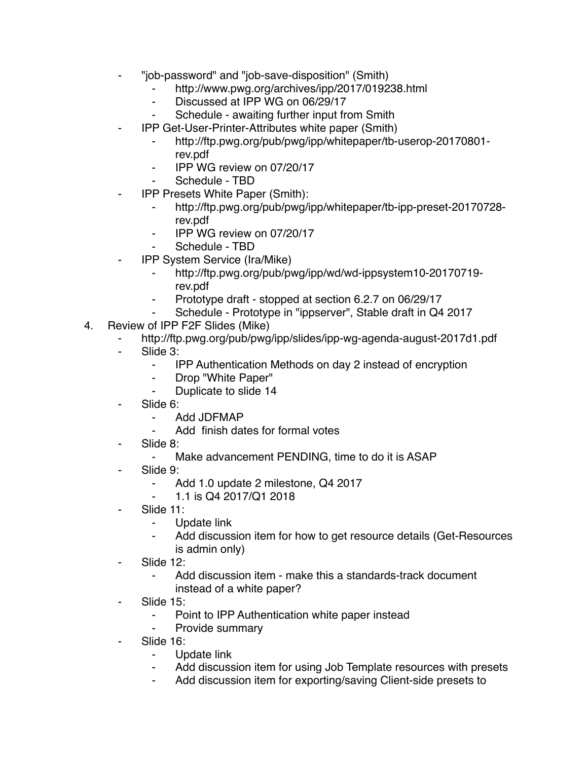- ⁃ "job-password" and "job-save-disposition" (Smith)
	- ⁃ http://www.pwg.org/archives/ipp/2017/019238.html
	- Discussed at IPP WG on 06/29/17
	- Schedule awaiting further input from Smith
- ⁃ IPP Get-User-Printer-Attributes white paper (Smith)
	- ⁃ http://ftp.pwg.org/pub/pwg/ipp/whitepaper/tb-userop-20170801 rev.pdf
	- ⁃ IPP WG review on 07/20/17
	- Schedule TBD
- **IPP Presets White Paper (Smith):** 
	- ⁃ http://ftp.pwg.org/pub/pwg/ipp/whitepaper/tb-ipp-preset-20170728 rev.pdf
	- ⁃ IPP WG review on 07/20/17
	- Schedule TBD
- ⁃ IPP System Service (Ira/Mike)
	- ⁃ http://ftp.pwg.org/pub/pwg/ipp/wd/wd-ippsystem10-20170719 rev.pdf
	- ⁃ Prototype draft stopped at section 6.2.7 on 06/29/17
	- Schedule Prototype in "ippserver", Stable draft in Q4 2017
- 4. Review of IPP F2F Slides (Mike)
	- http://ftp.pwg.org/pub/pwg/ipp/slides/ipp-wg-agenda-august-2017d1.pdf
	- Slide 3:
		- ⁃ IPP Authentication Methods on day 2 instead of encryption
		- ⁃ Drop "White Paper"
		- ⁃ Duplicate to slide 14
	- Slide 6:
		- ⁃ Add JDFMAP
			- Add finish dates for formal votes
	- Slide 8:
		- Make advancement PENDING, time to do it is ASAP
	- Slide 9:
		- ⁃ Add 1.0 update 2 milestone, Q4 2017
		- ⁃ 1.1 is Q4 2017/Q1 2018
	- Slide 11:
		- ⁃ Update link
		- Add discussion item for how to get resource details (Get-Resources is admin only)
	- Slide 12:
		- Add discussion item make this a standards-track document instead of a white paper?
	- Slide 15:
		- ⁃ Point to IPP Authentication white paper instead
		- Provide summary
	- Slide 16:
		- ⁃ Update link
		- Add discussion item for using Job Template resources with presets
		- Add discussion item for exporting/saving Client-side presets to